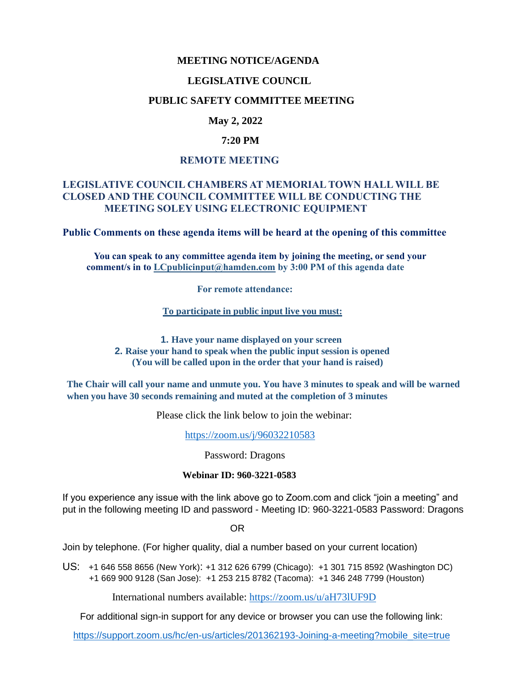#### **MEETING NOTICE/AGENDA**

#### **LEGISLATIVE COUNCIL**

#### **PUBLIC SAFETY COMMITTEE MEETING**

# **May 2, 2022**

#### **7:20 PM**

#### **REMOTE MEETING**

### **LEGISLATIVE COUNCIL CHAMBERS AT MEMORIAL TOWN HALL WILL BE CLOSED AND THE COUNCIL COMMITTEE WILL BE CONDUCTING THE MEETING SOLEY USING ELECTRONIC EQUIPMENT**

**Public Comments on these agenda items will be heard at the opening of this committee** 

 **You can speak to any committee agenda item by joining the meeting, or send your comment/s in to [LCpublicinput@hamden.com](mailto:LCpublicinput@hamden.com) by 3:00 PM of this agenda date**

 **For remote attendance:**

**To participate in public input live you must:**

**1. Have your name displayed on your screen 2. Raise your hand to speak when the public input session is opened (You will be called upon in the order that your hand is raised)**

**The Chair will call your name and unmute you. You have 3 minutes to speak and will be warned when you have 30 seconds remaining and muted at the completion of 3 minutes**

Please click the link below to join the webinar:

<https://zoom.us/j/96032210583>

Password: Dragons

#### **Webinar ID: 960-3221-0583**

If you experience any issue with the link above go to Zoom.com and click "join a meeting" and put in the following meeting ID and password - Meeting ID: 960-3221-0583 Password: Dragons

OR

Join by telephone. (For higher quality, dial a number based on your current location)

US: [+1 646 558 8656 \(New York\)](tel:+16465588656): [+1 312 626 6799 \(Chicago\):](tel:+13126266799) [+1 301 715 8592 \(Washington DC\)](tel:+13017158592) +1 669 900 9128 (San Jose): [+1 253 215 8782 \(Tacoma\):](tel:+12532158782) [+1 346 248 7799 \(Houston\)](tel:+13462487799)

International numbers available:<https://zoom.us/u/aH73lUF9D>

For additional sign-in support for any device or browser you can use the following link:

[https://support.zoom.us/hc/en-us/articles/201362193-Joining-a-meeting?mobile\\_site=true](https://support.zoom.us/hc/en-us/articles/201362193-Joining-a-meeting?mobile_site=true)